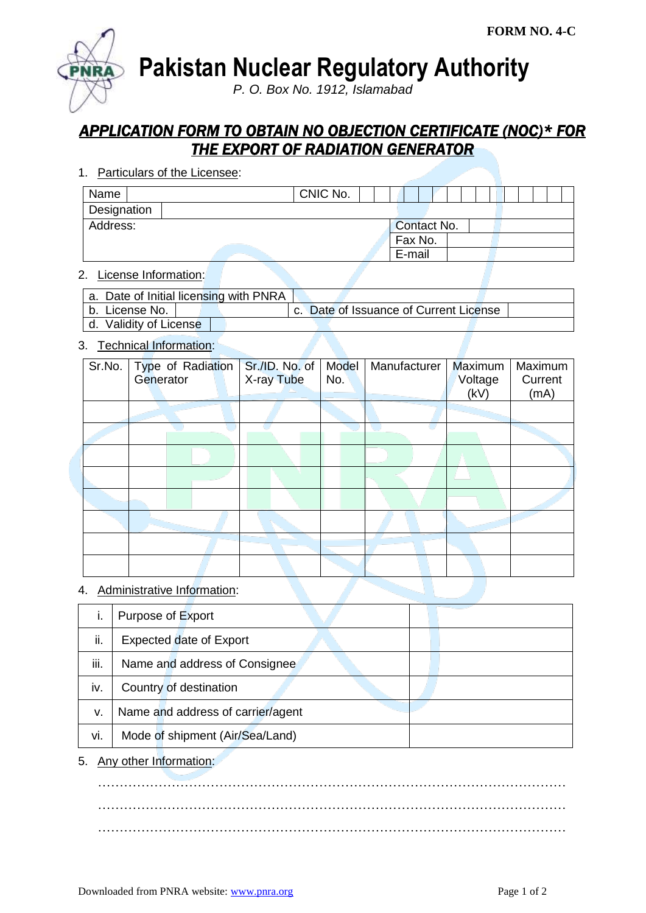**Pakistan Nuclear Regulatory Authority**

*P. O. Box No. 1912, Islamabad*

# *APPLICATION FORM TO OBTAIN NO OBJECTION CERTIFICATE (NOC)\* FOR THE EXPORT OF RADIATION GENERATOR*

1. Particulars of the Licensee:

| Name        |  | CNIC No. |  |         |             |  |  |  |  |
|-------------|--|----------|--|---------|-------------|--|--|--|--|
| Designation |  |          |  |         |             |  |  |  |  |
| Address:    |  |          |  |         | Contact No. |  |  |  |  |
|             |  |          |  | Fax No. |             |  |  |  |  |
|             |  |          |  | E-mail  |             |  |  |  |  |

### 2. License Information:

| a. Date of Initial licensing with PNRA |                                        |
|----------------------------------------|----------------------------------------|
| b. License No.                         | c. Date of Issuance of Current License |
| d. Validity of License                 |                                        |

### 3. Technical Information:

| Sr.No. | Type of Radiation<br>Generator | Sr./ID. No. of<br>X-ray Tube | Model<br>No. | Manufacturer | Maximum<br>Voltage<br>(kV) | Maximum<br>Current<br>(mA) |
|--------|--------------------------------|------------------------------|--------------|--------------|----------------------------|----------------------------|
|        |                                |                              |              |              |                            |                            |
|        |                                |                              |              |              |                            |                            |
|        |                                |                              |              |              |                            |                            |
|        |                                |                              |              |              |                            |                            |
|        |                                |                              |              |              |                            |                            |
|        |                                |                              |              |              |                            |                            |
|        |                                |                              |              |              |                            |                            |
|        |                                |                              |              |              |                            |                            |

## 4. Administrative Information:

|      | Purpose of Export                 |
|------|-----------------------------------|
| ii.  | <b>Expected date of Export</b>    |
| iii. | Name and address of Consignee     |
| iv.  | Country of destination            |
| v.   | Name and address of carrier/agent |
| vi.  | Mode of shipment (Air/Sea/Land)   |

5. Any other Information:

……………………………………………………………………………………………… ……………………………………………………………………………………………… ………………………………………………………………………………………………